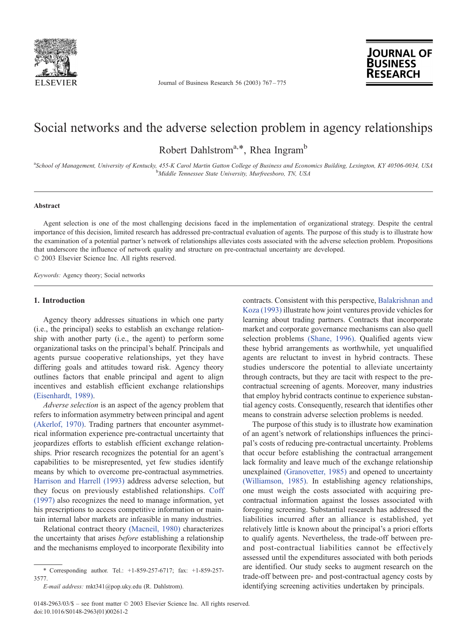

Journal of Business Research 56 (2003) 767 – 775



# Social networks and the adverse selection problem in agency relationships

Robert Dahlstrom<sup>a,\*</sup>, Rhea Ingram<sup>b</sup>

<sup>a</sup>School of Management, University of Kentucky, 455-K Carol Martin Gatton College of Business and Economics Building, Lexington, KY 40506-0034, USA<br>bMiddle Tamassae State University Murfraesboro, TN, USA <sup>b</sup>Middle Tennessee State University, Murfreesboro, TN, USA

## Abstract

Agent selection is one of the most challenging decisions faced in the implementation of organizational strategy. Despite the central importance of this decision, limited research has addressed pre-contractual evaluation of agents. The purpose of this study is to illustrate how the examination of a potential partner's network of relationships alleviates costs associated with the adverse selection problem. Propositions that underscore the influence of network quality and structure on pre-contractual uncertainty are developed.  $© 2003 Elsevier Science Inc. All rights reserved.$ 

Keywords: Agency theory; Social networks

### 1. Introduction

Agency theory addresses situations in which one party (i.e., the principal) seeks to establish an exchange relationship with another party (i.e., the agent) to perform some organizational tasks on the principal's behalf. Principals and agents pursue cooperative relationships, yet they have differing goals and attitudes toward risk. Agency theory outlines factors that enable principal and agent to align incentives and establish efficient exchange relationships [\(Eisenhardt, 1989\).](#page--1-0)

Adverse selection is an aspect of the agency problem that refers to information asymmetry between principal and agent [\(Akerlof, 1970\).](#page--1-0) Trading partners that encounter asymmetrical information experience pre-contractual uncertainty that jeopardizes efforts to establish efficient exchange relationships. Prior research recognizes the potential for an agent's capabilities to be misrepresented, yet few studies identify means by which to overcome pre-contractual asymmetries. [Harrison and Harrell \(1993\)](#page--1-0) address adverse selection, but they focus on previously established relationships. [Coff](#page--1-0) (1997) also recognizes the need to manage information, yet his prescriptions to access competitive information or maintain internal labor markets are infeasible in many industries.

Relational contract theory [\(Macneil, 1980\)](#page--1-0) characterizes the uncertainty that arises before establishing a relationship and the mechanisms employed to incorporate flexibility into contracts. Consistent with this perspective, [Balakrishnan and](#page--1-0) Koza (1993) illustrate how joint ventures provide vehicles for learning about trading partners. Contracts that incorporate market and corporate governance mechanisms can also quell selection problems [\(Shane, 1996\).](#page--1-0) Qualified agents view these hybrid arrangements as worthwhile, yet unqualified agents are reluctant to invest in hybrid contracts. These studies underscore the potential to alleviate uncertainty through contracts, but they are tacit with respect to the precontractual screening of agents. Moreover, many industries that employ hybrid contracts continue to experience substantial agency costs. Consequently, research that identifies other means to constrain adverse selection problems is needed.

The purpose of this study is to illustrate how examination of an agent's network of relationships influences the principal's costs of reducing pre-contractual uncertainty. Problems that occur before establishing the contractual arrangement lack formality and leave much of the exchange relationship unexplained [\(Granovetter, 1985\)](#page--1-0) and opened to uncertainty [\(Williamson, 1985\).](#page--1-0) In establishing agency relationships, one must weigh the costs associated with acquiring precontractual information against the losses associated with foregoing screening. Substantial research has addressed the liabilities incurred after an alliance is established, yet relatively little is known about the principal's a priori efforts to qualify agents. Nevertheless, the trade-off between preand post-contractual liabilities cannot be effectively assessed until the expenditures associated with both periods are identified. Our study seeks to augment research on the trade-off between pre- and post-contractual agency costs by identifying screening activities undertaken by principals.

<sup>\*</sup> Corresponding author. Tel.: +1-859-257-6717; fax: +1-859-257- 3577.

E-mail address: mkt341@pop.uky.edu (R. Dahlstrom).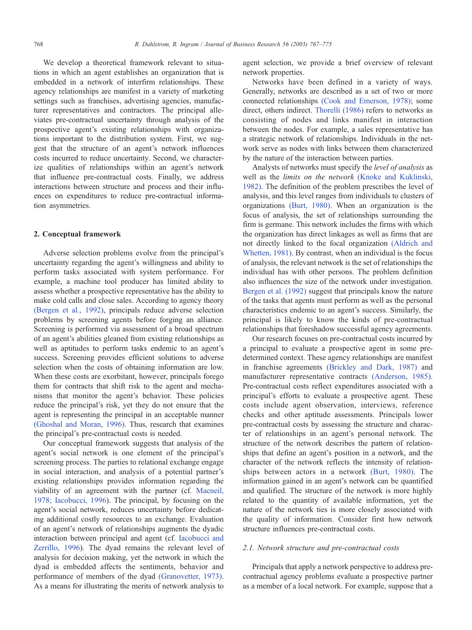We develop a theoretical framework relevant to situations in which an agent establishes an organization that is embedded in a network of interfirm relationships. These agency relationships are manifest in a variety of marketing settings such as franchises, advertising agencies, manufacturer representatives and contractors. The principal alleviates pre-contractual uncertainty through analysis of the prospective agent's existing relationships with organizations important to the distribution system. First, we suggest that the structure of an agent's network influences costs incurred to reduce uncertainty. Second, we characterize qualities of relationships within an agent's network that influence pre-contractual costs. Finally, we address interactions between structure and process and their influences on expenditures to reduce pre-contractual information asymmetries.

#### 2. Conceptual framework

Adverse selection problems evolve from the principal's uncertainty regarding the agent's willingness and ability to perform tasks associated with system performance. For example, a machine tool producer has limited ability to assess whether a prospective representative has the ability to make cold calls and close sales. According to agency theory [\(Bergen et al., 1992\),](#page--1-0) principals reduce adverse selection problems by screening agents before forging an alliance. Screening is performed via assessment of a broad spectrum of an agent's abilities gleaned from existing relationships as well as aptitudes to perform tasks endemic to an agent's success. Screening provides efficient solutions to adverse selection when the costs of obtaining information are low. When these costs are exorbitant, however, principals forego them for contracts that shift risk to the agent and mechanisms that monitor the agent's behavior. These policies reduce the principal's risk, yet they do not ensure that the agent is representing the principal in an acceptable manner [\(Ghoshal and Moran, 1996\).](#page--1-0) Thus, research that examines the principal's pre-contractual costs is needed.

Our conceptual framework suggests that analysis of the agent's social network is one element of the principal's screening process. The parties to relational exchange engage in social interaction, and analysis of a potential partner's existing relationships provides information regarding the viability of an agreement with the partner (cf. [Macneil,](#page--1-0) 1978; Iacobucci, 1996). The principal, by focusing on the agent's social network, reduces uncertainty before dedicating additional costly resources to an exchange. Evaluation of an agent's network of relationships augments the dyadic interaction between principal and agent (cf. [Iacobucci and](#page--1-0) Zerrillo, 1996). The dyad remains the relevant level of analysis for decision making, yet the network in which the dyad is embedded affects the sentiments, behavior and performance of members of the dyad [\(Granovetter, 1973\).](#page--1-0) As a means for illustrating the merits of network analysis to

agent selection, we provide a brief overview of relevant network properties.

Networks have been defined in a variety of ways. Generally, networks are described as a set of two or more connected relationships [\(Cook and Emerson, 1978\);](#page--1-0) some direct, others indirect. [Thorelli \(1986\)](#page--1-0) refers to networks as consisting of nodes and links manifest in interaction between the nodes. For example, a sales representative has a strategic network of relationships. Individuals in the network serve as nodes with links between them characterized by the nature of the interaction between parties.

Analysts of networks must specify the level of analysis as well as the limits on the network [\(Knoke and Kuklinski,](#page--1-0) 1982). The definition of the problem prescribes the level of analysis, and this level ranges from individuals to clusters of organizations [\(Burt, 1980\).](#page--1-0) When an organization is the focus of analysis, the set of relationships surrounding the firm is germane. This network includes the firms with which the organization has direct linkages as well as firms that are not directly linked to the focal organization [\(Aldrich and](#page--1-0) Whetten, 1981). By contrast, when an individual is the focus of analysis, the relevant network is the set of relationships the individual has with other persons. The problem definition also influences the size of the network under investigation. [Bergen et al. \(1992\)](#page--1-0) suggest that principals know the nature of the tasks that agents must perform as well as the personal characteristics endemic to an agent's success. Similarly, the principal is likely to know the kinds of pre-contractual relationships that foreshadow successful agency agreements.

Our research focuses on pre-contractual costs incurred by a principal to evaluate a prospective agent in some predetermined context. These agency relationships are manifest in franchise agreements [\(Brickley and Dark, 1987\)](#page--1-0) and manufacturer representative contracts [\(Anderson, 1985\).](#page--1-0) Pre-contractual costs reflect expenditures associated with a principal's efforts to evaluate a prospective agent. These costs include agent observation, interviews, reference checks and other aptitude assessments. Principals lower pre-contractual costs by assessing the structure and character of relationships in an agent's personal network. The structure of the network describes the pattern of relationships that define an agent's position in a network, and the character of the network reflects the intensity of relationships between actors in a network [\(Burt, 1980\).](#page--1-0) The information gained in an agent's network can be quantified and qualified. The structure of the network is more highly related to the quantity of available information, yet the nature of the network ties is more closely associated with the quality of information. Consider first how network structure influences pre-contractual costs.

#### 2.1. Network structure and pre-contractual costs

Principals that apply a network perspective to address precontractual agency problems evaluate a prospective partner as a member of a local network. For example, suppose that a